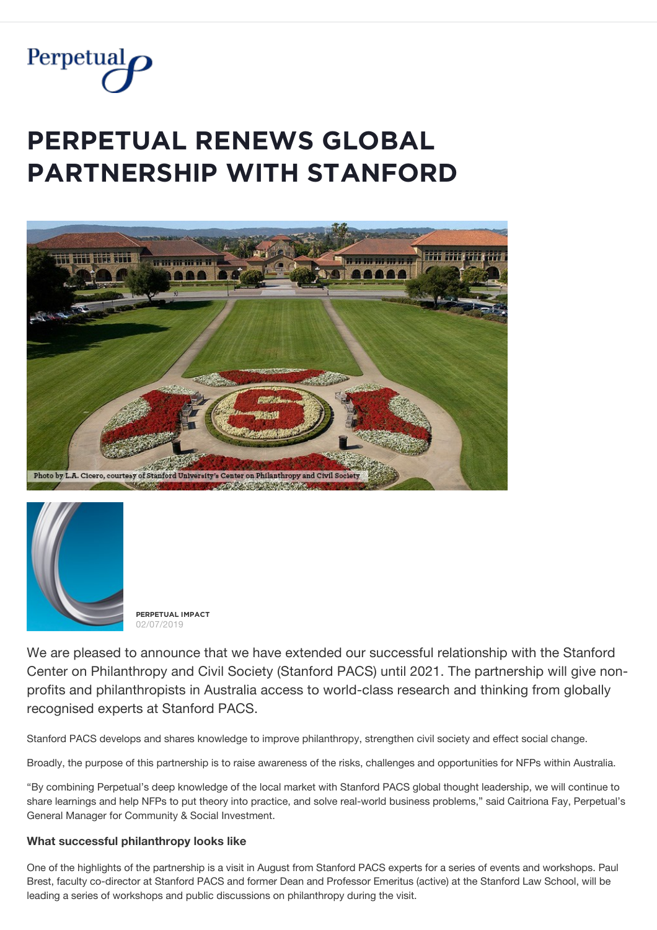

# **PERPETUAL RENEWS GLOBAL PARTNERSHIP WITH STANFORD**





**PĚŘPĚȚŲǺĿ İMPǺČȚ** 02/07/2019

We are pleased to announce that we have extended our successful relationship with the Stanford Center on Philanthropy and Civil Society (Stanford PACS) until 2021. The partnership will give nonprofits and philanthropists in Australia access to world-class research and thinking from globally recognised experts at Stanford PACS.

Stanford PACS develops and shares knowledge to improve philanthropy, strengthen civil society and effect social change.

Broadly, the purpose of this partnership is to raise awareness of the risks, challenges and opportunities for NFPs within Australia.

"By combining Perpetual's deep knowledge of the local market with Stanford PACS global thought leadership, we will continue to share learnings and help NFPs to put theory into practice, and solve real-world business problems," said Caitriona Fay, Perpetual's General Manager for Community & Social Investment.

### **What successful philanthropy looks like**

One of the highlights of the partnership is a visit in August from Stanford PACS experts for a series of events and workshops. Paul Brest, faculty co-director at Stanford PACS and former Dean and Professor Emeritus (active) at the Stanford Law School, will be leading a series of workshops and public discussions on philanthropy during the visit.